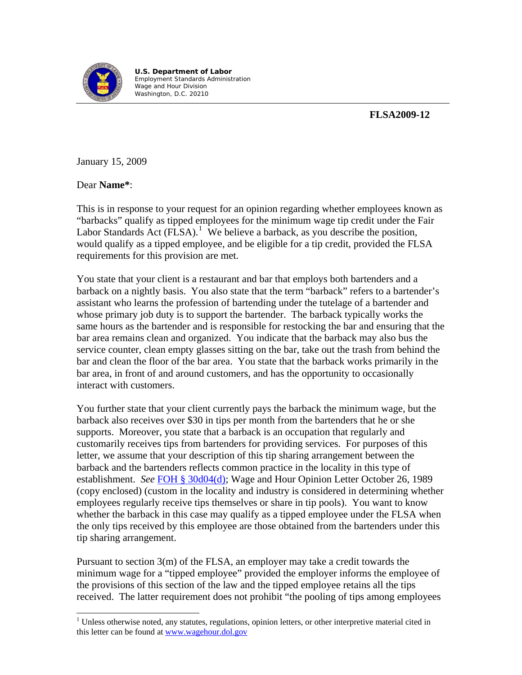

**U.S. Department of Labor**  Employment Standards Administration Wage and Hour Division Washington, D.C. 20210

## **FLSA2009-12**

January 15, 2009

Dear **Name\***:

 $\overline{a}$ 

This is in response to your request for an opinion regarding whether employees known as "barbacks" qualify as tipped employees for the minimum wage tip credit under the Fair Labor Standards Act  $(FLSA)$ .<sup>[1](#page-0-0)</sup> We believe a barback, as you describe the position, would qualify as a tipped employee, and be eligible for a tip credit, provided the FLSA requirements for this provision are met.

You state that your client is a restaurant and bar that employs both bartenders and a barback on a nightly basis. You also state that the term "barback" refers to a bartender's assistant who learns the profession of bartending under the tutelage of a bartender and whose primary job duty is to support the bartender. The barback typically works the same hours as the bartender and is responsible for restocking the bar and ensuring that the bar area remains clean and organized. You indicate that the barback may also bus the service counter, clean empty glasses sitting on the bar, take out the trash from behind the bar and clean the floor of the bar area. You state that the barback works primarily in the bar area, in front of and around customers, and has the opportunity to occasionally interact with customers.

You further state that your client currently pays the barback the minimum wage, but the barback also receives over \$30 in tips per month from the bartenders that he or she supports. Moreover, you state that a barback is an occupation that regularly and customarily receives tips from bartenders for providing services. For purposes of this letter, we assume that your description of this tip sharing arrangement between the barback and the bartenders reflects common practice in the locality in this type of establishment. *See* [FOH § 30d04\(d\);](http://www.dol.gov/esa/whd/FOH/FOH_Ch30.pdf) Wage and Hour Opinion Letter October 26, 1989 (copy enclosed) (custom in the locality and industry is considered in determining whether employees regularly receive tips themselves or share in tip pools). You want to know whether the barback in this case may qualify as a tipped employee under the FLSA when the only tips received by this employee are those obtained from the bartenders under this tip sharing arrangement.

Pursuant to section 3(m) of the FLSA, an employer may take a credit towards the minimum wage for a "tipped employee" provided the employer informs the employee of the provisions of this section of the law and the tipped employee retains all the tips received. The latter requirement does not prohibit "the pooling of tips among employees

<span id="page-0-0"></span><sup>&</sup>lt;sup>1</sup> Unless otherwise noted, any statutes, regulations, opinion letters, or other interpretive material cited in this letter can be found at [www.wagehour.dol.gov](http://www.wagehour.dol.gov/)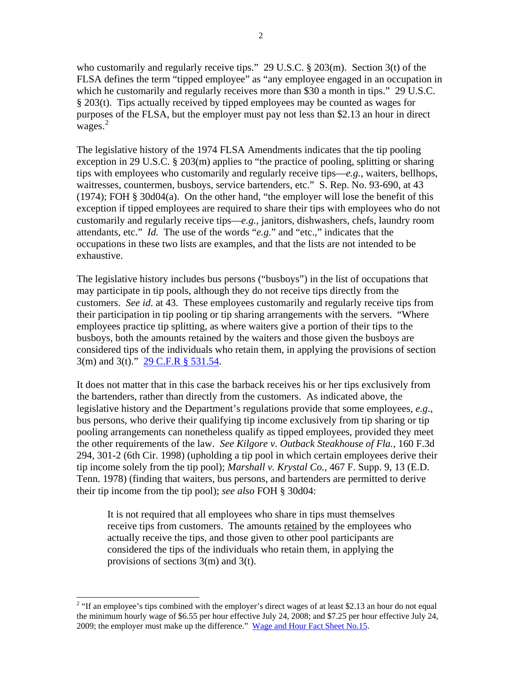who customarily and regularly receive tips." 29 U.S.C. § 203(m). Section 3(t) of the FLSA defines the term "tipped employee" as "any employee engaged in an occupation in which he customarily and regularly receives more than \$30 a month in tips." 29 U.S.C. § 203(t). Tips actually received by tipped employees may be counted as wages for purposes of the FLSA, but the employer must pay not less than \$2.13 an hour in direct wages.<sup>[2](#page-1-0)</sup>

The legislative history of the 1974 FLSA Amendments indicates that the tip pooling exception in 29 U.S.C. § 203(m) applies to "the practice of pooling, splitting or sharing tips with employees who customarily and regularly receive tips—*e.g.*, waiters, bellhops, waitresses, countermen, busboys, service bartenders, etc." S. Rep. No. 93-690, at 43 (1974); FOH § 30d04(a). On the other hand, "the employer will lose the benefit of this exception if tipped employees are required to share their tips with employees who do not customarily and regularly receive tips—*e.g.*, janitors, dishwashers, chefs, laundry room attendants, etc." *Id.* The use of the words "*e.g.*" and "etc.," indicates that the occupations in these two lists are examples, and that the lists are not intended to be exhaustive.

The legislative history includes bus persons ("busboys") in the list of occupations that may participate in tip pools, although they do not receive tips directly from the customers. *See id*. at 43. These employees customarily and regularly receive tips from their participation in tip pooling or tip sharing arrangements with the servers. "Where employees practice tip splitting, as where waiters give a portion of their tips to the busboys, both the amounts retained by the waiters and those given the busboys are considered tips of the individuals who retain them, in applying the provisions of section 3(m) and 3(t)." [29 C.F.R § 531.54.](http://www.dol.gov/dol/allcfr/ESA/Title_29/Part_531/29CFR531.54.htm)

It does not matter that in this case the barback receives his or her tips exclusively from the bartenders, rather than directly from the customers. As indicated above, the legislative history and the Department's regulations provide that some employees, *e.g*., bus persons, who derive their qualifying tip income exclusively from tip sharing or tip pooling arrangements can nonetheless qualify as tipped employees, provided they meet the other requirements of the law. *See Kilgore v. Outback Steakhouse of Fla.,* 160 F.3d 294, 301-2 (6th Cir. 1998) (upholding a tip pool in which certain employees derive their tip income solely from the tip pool); *Marshall v. Krystal Co.,* 467 F. Supp. 9, 13 (E.D. Tenn. 1978) (finding that waiters, bus persons, and bartenders are permitted to derive their tip income from the tip pool); *see also* FOH § 30d04:

It is not required that all employees who share in tips must themselves receive tips from customers. The amounts retained by the employees who actually receive the tips, and those given to other pool participants are considered the tips of the individuals who retain them, in applying the provisions of sections 3(m) and 3(t).

 $\overline{a}$ 

<span id="page-1-0"></span><sup>&</sup>lt;sup>2</sup> "If an employee's tips combined with the employer's direct wages of at least \$2.13 an hour do not equal the minimum hourly wage of \$6.55 per hour effective July 24, 2008; and \$7.25 per hour effective July 24, 2009; the employer must make up the difference." [Wage and Hour Fact Sheet No.15](http://www.dol.gov/esa/whd/regs/compliance/whdfs15.pdf).